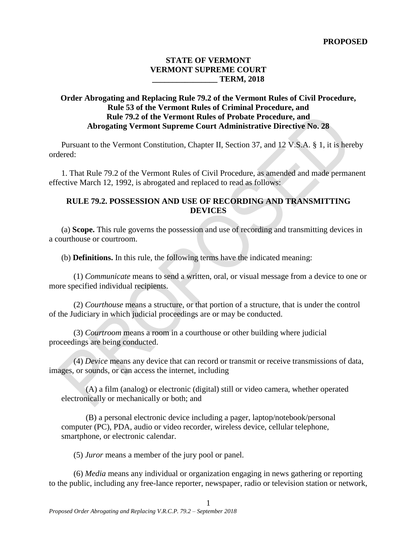## **STATE OF VERMONT VERMONT SUPREME COURT \_\_\_\_\_\_\_\_\_\_\_\_\_\_\_\_ TERM, 2018**

# **Order Abrogating and Replacing Rule 79.2 of the Vermont Rules of Civil Procedure, Rule 53 of the Vermont Rules of Criminal Procedure, and Rule 79.2 of the Vermont Rules of Probate Procedure, and Abrogating Vermont Supreme Court Administrative Directive No. 28**

Pursuant to the Vermont Constitution, Chapter II, Section 37, and 12 V.S.A. § 1, it is hereby ordered:

1. That Rule 79.2 of the Vermont Rules of Civil Procedure, as amended and made permanent effective March 12, 1992, is abrogated and replaced to read as follows:

# **RULE 79.2. POSSESSION AND USE OF RECORDING AND TRANSMITTING DEVICES**

(a) **Scope.** This rule governs the possession and use of recording and transmitting devices in a courthouse or courtroom.

(b) **Definitions.** In this rule, the following terms have the indicated meaning:

(1) *Communicate* means to send a written, oral, or visual message from a device to one or more specified individual recipients.

(2) *Courthouse* means a structure, or that portion of a structure, that is under the control of the Judiciary in which judicial proceedings are or may be conducted.

(3) *Courtroom* means a room in a courthouse or other building where judicial proceedings are being conducted.

(4) *Device* means any device that can record or transmit or receive transmissions of data, images, or sounds, or can access the internet, including

(A) a film (analog) or electronic (digital) still or video camera, whether operated electronically or mechanically or both; and

(B) a personal electronic device including a pager, laptop/notebook/personal computer (PC), PDA, audio or video recorder, wireless device, cellular telephone, smartphone, or electronic calendar.

(5) *Juror* means a member of the jury pool or panel.

(6) *Media* means any individual or organization engaging in news gathering or reporting to the public, including any free-lance reporter, newspaper, radio or television station or network,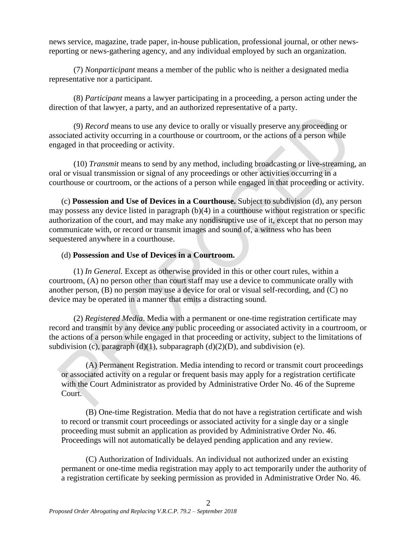news service, magazine, trade paper, in-house publication, professional journal, or other newsreporting or news-gathering agency, and any individual employed by such an organization.

(7) *Nonparticipant* means a member of the public who is neither a designated media representative nor a participant.

(8) *Participant* means a lawyer participating in a proceeding, a person acting under the direction of that lawyer, a party, and an authorized representative of a party.

(9) *Record* means to use any device to orally or visually preserve any proceeding or associated activity occurring in a courthouse or courtroom, or the actions of a person while engaged in that proceeding or activity.

(10) *Transmit* means to send by any method, including broadcasting or live-streaming, an oral or visual transmission or signal of any proceedings or other activities occurring in a courthouse or courtroom, or the actions of a person while engaged in that proceeding or activity.

(c) **Possession and Use of Devices in a Courthouse.** Subject to subdivision (d), any person may possess any device listed in paragraph (b)(4) in a courthouse without registration or specific authorization of the court, and may make any nondisruptive use of it, except that no person may communicate with, or record or transmit images and sound of, a witness who has been sequestered anywhere in a courthouse.

### (d) **Possession and Use of Devices in a Courtroom.**

(1) *In General.* Except as otherwise provided in this or other court rules, within a courtroom, (A) no person other than court staff may use a device to communicate orally with another person, (B) no person may use a device for oral or visual self-recording, and (C) no device may be operated in a manner that emits a distracting sound.

(2) *Registered Media*. Media with a permanent or one-time registration certificate may record and transmit by any device any public proceeding or associated activity in a courtroom, or the actions of a person while engaged in that proceeding or activity, subject to the limitations of subdivision (c), paragraph (d)(1), subparagraph (d)(2)(D), and subdivision (e).

(A) Permanent Registration. Media intending to record or transmit court proceedings or associated activity on a regular or frequent basis may apply for a registration certificate with the Court Administrator as provided by Administrative Order No. 46 of the Supreme Court.

(B) One-time Registration. Media that do not have a registration certificate and wish to record or transmit court proceedings or associated activity for a single day or a single proceeding must submit an application as provided by Administrative Order No. 46. Proceedings will not automatically be delayed pending application and any review.

(C) Authorization of Individuals. An individual not authorized under an existing permanent or one-time media registration may apply to act temporarily under the authority of a registration certificate by seeking permission as provided in Administrative Order No. 46.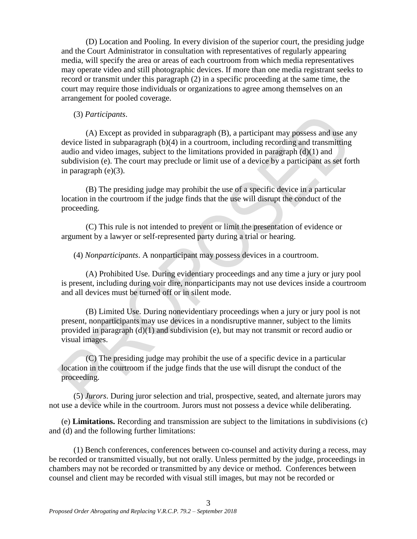(D) Location and Pooling. In every division of the superior court, the presiding judge and the Court Administrator in consultation with representatives of regularly appearing media, will specify the area or areas of each courtroom from which media representatives may operate video and still photographic devices. If more than one media registrant seeks to record or transmit under this paragraph (2) in a specific proceeding at the same time, the court may require those individuals or organizations to agree among themselves on an arrangement for pooled coverage.

#### (3) *Participants*.

(A) Except as provided in subparagraph (B), a participant may possess and use any device listed in subparagraph (b)(4) in a courtroom, including recording and transmitting audio and video images, subject to the limitations provided in paragraph (d)(1) and subdivision (e). The court may preclude or limit use of a device by a participant as set forth in paragraph (e)(3).

(B) The presiding judge may prohibit the use of a specific device in a particular location in the courtroom if the judge finds that the use will disrupt the conduct of the proceeding.

(C) This rule is not intended to prevent or limit the presentation of evidence or argument by a lawyer or self-represented party during a trial or hearing.

(4) *Nonparticipants*. A nonparticipant may possess devices in a courtroom.

(A) Prohibited Use. During evidentiary proceedings and any time a jury or jury pool is present, including during voir dire, nonparticipants may not use devices inside a courtroom and all devices must be turned off or in silent mode.

(B) Limited Use. During nonevidentiary proceedings when a jury or jury pool is not present, nonparticipants may use devices in a nondisruptive manner, subject to the limits provided in paragraph (d)(1) and subdivision (e), but may not transmit or record audio or visual images.

(C) The presiding judge may prohibit the use of a specific device in a particular location in the courtroom if the judge finds that the use will disrupt the conduct of the proceeding.

(5) *Jurors*. During juror selection and trial, prospective, seated, and alternate jurors may not use a device while in the courtroom. Jurors must not possess a device while deliberating.

(e) **Limitations.** Recording and transmission are subject to the limitations in subdivisions (c) and (d) and the following further limitations:

(1) Bench conferences, conferences between co-counsel and activity during a recess, may be recorded or transmitted visually, but not orally. Unless permitted by the judge, proceedings in chambers may not be recorded or transmitted by any device or method. Conferences between counsel and client may be recorded with visual still images, but may not be recorded or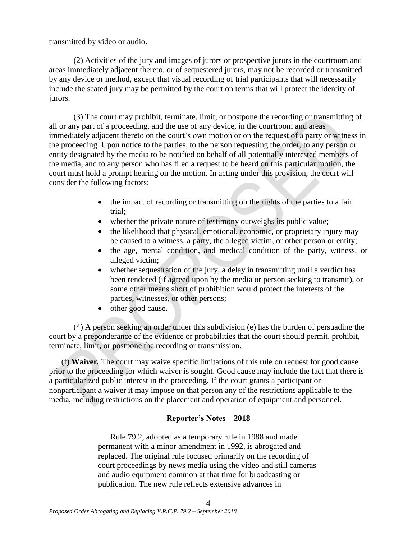transmitted by video or audio.

(2) Activities of the jury and images of jurors or prospective jurors in the courtroom and areas immediately adjacent thereto, or of sequestered jurors, may not be recorded or transmitted by any device or method, except that visual recording of trial participants that will necessarily include the seated jury may be permitted by the court on terms that will protect the identity of jurors.

(3) The court may prohibit, terminate, limit, or postpone the recording or transmitting of all or any part of a proceeding, and the use of any device, in the courtroom and areas immediately adjacent thereto on the court's own motion or on the request of a party or witness in the proceeding. Upon notice to the parties, to the person requesting the order, to any person or entity designated by the media to be notified on behalf of all potentially interested members of the media, and to any person who has filed a request to be heard on this particular motion, the court must hold a prompt hearing on the motion. In acting under this provision, the court will consider the following factors:

- the impact of recording or transmitting on the rights of the parties to a fair trial;
- whether the private nature of testimony outweighs its public value;
- the likelihood that physical, emotional, economic, or proprietary injury may be caused to a witness, a party, the alleged victim, or other person or entity;
- the age, mental condition, and medical condition of the party, witness, or alleged victim;
- whether sequestration of the jury, a delay in transmitting until a verdict has been rendered (if agreed upon by the media or person seeking to transmit), or some other means short of prohibition would protect the interests of the parties, witnesses, or other persons;
- other good cause.

(4) A person seeking an order under this subdivision (e) has the burden of persuading the court by a preponderance of the evidence or probabilities that the court should permit, prohibit, terminate, limit, or postpone the recording or transmission.

(f) **Waiver***.* The court may waive specific limitations of this rule on request for good cause prior to the proceeding for which waiver is sought. Good cause may include the fact that there is a particularized public interest in the proceeding. If the court grants a participant or nonparticipant a waiver it may impose on that person any of the restrictions applicable to the media, including restrictions on the placement and operation of equipment and personnel.

### **Reporter's Notes—2018**

Rule 79.2, adopted as a temporary rule in 1988 and made permanent with a minor amendment in 1992, is abrogated and replaced. The original rule focused primarily on the recording of court proceedings by news media using the video and still cameras and audio equipment common at that time for broadcasting or publication. The new rule reflects extensive advances in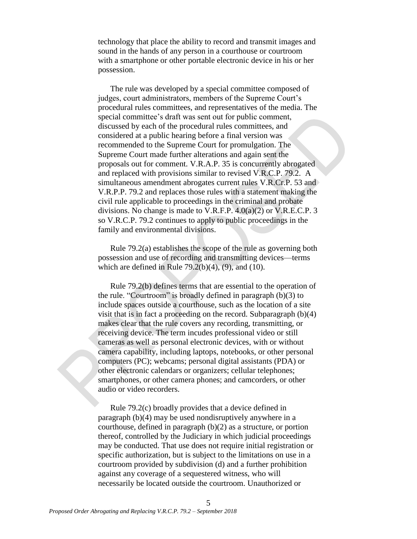technology that place the ability to record and transmit images and sound in the hands of any person in a courthouse or courtroom with a smartphone or other portable electronic device in his or her possession.

The rule was developed by a special committee composed of judges, court administrators, members of the Supreme Court's procedural rules committees, and representatives of the media. The special committee's draft was sent out for public comment, discussed by each of the procedural rules committees, and considered at a public hearing before a final version was recommended to the Supreme Court for promulgation. The Supreme Court made further alterations and again sent the proposals out for comment. V.R.A.P. 35 is concurrently abrogated and replaced with provisions similar to revised V.R.C.P. 79.2. A simultaneous amendment abrogates current rules V.R.Cr.P. 53 and V.R.P.P. 79.2 and replaces those rules with a statement making the civil rule applicable to proceedings in the criminal and probate divisions. No change is made to V.R.F.P. 4.0(a)(2) or V.R.E.C.P. 3 so V.R.C.P. 79.2 continues to apply to public proceedings in the family and environmental divisions.

Rule 79.2(a) establishes the scope of the rule as governing both possession and use of recording and transmitting devices—terms which are defined in Rule  $79.2(b)(4)$ ,  $(9)$ , and  $(10)$ .

Rule 79.2(b) defines terms that are essential to the operation of the rule. "Courtroom" is broadly defined in paragraph (b)(3) to include spaces outside a courthouse, such as the location of a site visit that is in fact a proceeding on the record. Subparagraph (b)(4) makes clear that the rule covers any recording, transmitting, or receiving device. The term incudes professional video or still cameras as well as personal electronic devices, with or without camera capability, including laptops, notebooks, or other personal computers (PC); webcams; personal digital assistants (PDA) or other electronic calendars or organizers; cellular telephones; smartphones, or other camera phones; and camcorders, or other audio or video recorders.

Rule 79.2(c) broadly provides that a device defined in paragraph (b)(4) may be used nondisruptively anywhere in a courthouse, defined in paragraph (b)(2) as a structure, or portion thereof, controlled by the Judiciary in which judicial proceedings may be conducted. That use does not require initial registration or specific authorization, but is subject to the limitations on use in a courtroom provided by subdivision (d) and a further prohibition against any coverage of a sequestered witness, who will necessarily be located outside the courtroom. Unauthorized or

5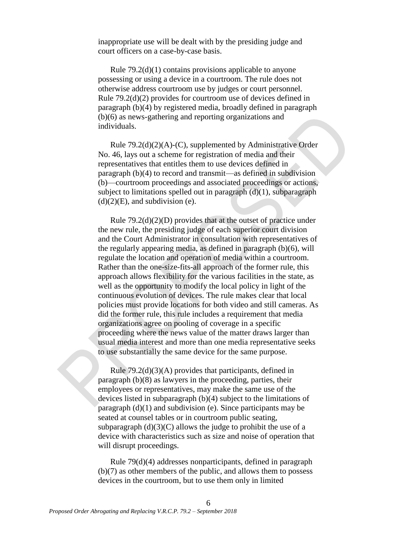inappropriate use will be dealt with by the presiding judge and court officers on a case-by-case basis.

Rule 79.2(d)(1) contains provisions applicable to anyone possessing or using a device in a courtroom. The rule does not otherwise address courtroom use by judges or court personnel. Rule 79.2(d)(2) provides for courtroom use of devices defined in paragraph (b)(4) by registered media, broadly defined in paragraph (b)(6) as news-gathering and reporting organizations and individuals.

Rule 79.2(d)(2)(A)-(C), supplemented by Administrative Order No. 46, lays out a scheme for registration of media and their representatives that entitles them to use devices defined in paragraph (b)(4) to record and transmit—as defined in subdivision (b)—courtroom proceedings and associated proceedings or actions, subject to limitations spelled out in paragraph  $(d)(1)$ , subparagraph  $(d)(2)(E)$ , and subdivision (e).

Rule  $79.2(d)(2)(D)$  provides that at the outset of practice under the new rule, the presiding judge of each superior court division and the Court Administrator in consultation with representatives of the regularly appearing media, as defined in paragraph (b)(6), will regulate the location and operation of media within a courtroom. Rather than the one-size-fits-all approach of the former rule, this approach allows flexibility for the various facilities in the state, as well as the opportunity to modify the local policy in light of the continuous evolution of devices. The rule makes clear that local policies must provide locations for both video and still cameras. As did the former rule, this rule includes a requirement that media organizations agree on pooling of coverage in a specific proceeding where the news value of the matter draws larger than usual media interest and more than one media representative seeks to use substantially the same device for the same purpose.

Rule 79.2(d)(3)(A) provides that participants, defined in paragraph (b)(8) as lawyers in the proceeding, parties, their employees or representatives, may make the same use of the devices listed in subparagraph (b)(4) subject to the limitations of paragraph  $(d)(1)$  and subdivision (e). Since participants may be seated at counsel tables or in courtroom public seating, subparagraph  $(d)(3)(C)$  allows the judge to prohibit the use of a device with characteristics such as size and noise of operation that will disrupt proceedings.

Rule 79(d)(4) addresses nonparticipants, defined in paragraph (b)(7) as other members of the public, and allows them to possess devices in the courtroom, but to use them only in limited

6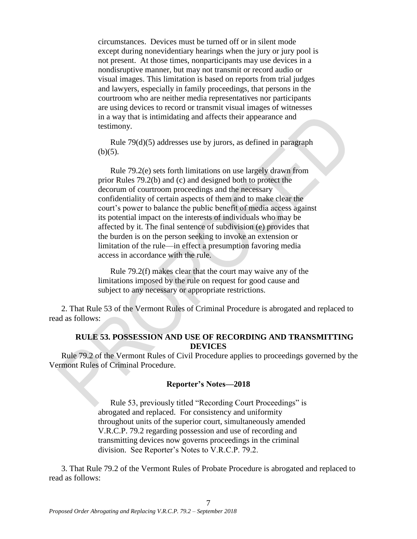circumstances. Devices must be turned off or in silent mode except during nonevidentiary hearings when the jury or jury pool is not present. At those times, nonparticipants may use devices in a nondisruptive manner, but may not transmit or record audio or visual images. This limitation is based on reports from trial judges and lawyers, especially in family proceedings, that persons in the courtroom who are neither media representatives nor participants are using devices to record or transmit visual images of witnesses in a way that is intimidating and affects their appearance and testimony.

Rule 79(d)(5) addresses use by jurors, as defined in paragraph  $(b)(5)$ .

Rule 79.2(e) sets forth limitations on use largely drawn from prior Rules 79.2(b) and (c) and designed both to protect the decorum of courtroom proceedings and the necessary confidentiality of certain aspects of them and to make clear the court's power to balance the public benefit of media access against its potential impact on the interests of individuals who may be affected by it. The final sentence of subdivision (e) provides that the burden is on the person seeking to invoke an extension or limitation of the rule—in effect a presumption favoring media access in accordance with the rule.

Rule 79.2(f) makes clear that the court may waive any of the limitations imposed by the rule on request for good cause and subject to any necessary or appropriate restrictions.

2. That Rule 53 of the Vermont Rules of Criminal Procedure is abrogated and replaced to read as follows:

# **RULE 53. POSSESSION AND USE OF RECORDING AND TRANSMITTING DEVICES**

Rule 79.2 of the Vermont Rules of Civil Procedure applies to proceedings governed by the Vermont Rules of Criminal Procedure.

#### **Reporter's Notes—2018**

Rule 53, previously titled "Recording Court Proceedings" is abrogated and replaced. For consistency and uniformity throughout units of the superior court, simultaneously amended V.R.C.P. 79.2 regarding possession and use of recording and transmitting devices now governs proceedings in the criminal division. See Reporter's Notes to V.R.C.P. 79.2.

3. That Rule 79.2 of the Vermont Rules of Probate Procedure is abrogated and replaced to read as follows:

7